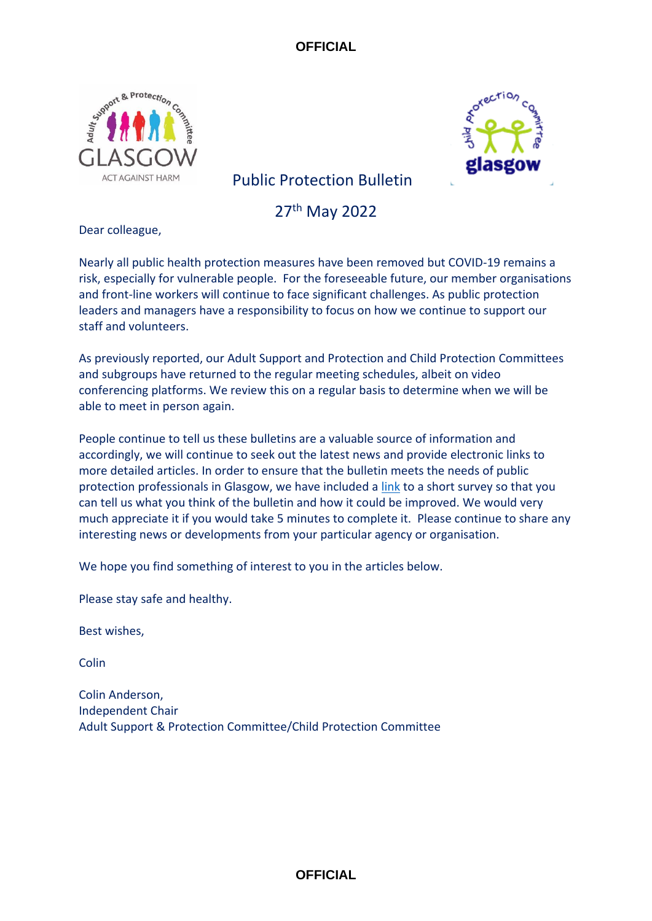



# Public Protection Bulletin

27th May 2022

Dear colleague,

Nearly all public health protection measures have been removed but COVID-19 remains a risk, especially for vulnerable people. For the foreseeable future, our member organisations and front-line workers will continue to face significant challenges. As public protection leaders and managers have a responsibility to focus on how we continue to support our staff and volunteers.

As previously reported, our Adult Support and Protection and Child Protection Committees and subgroups have returned to the regular meeting schedules, albeit on video conferencing platforms. We review this on a regular basis to determine when we will be able to meet in person again.

People continue to tell us these bulletins are a valuable source of information and accordingly, we will continue to seek out the latest news and provide electronic links to more detailed articles. In order to ensure that the bulletin meets the needs of public protection professionals in Glasgow, we have included a [link](https://www.smartsurvey.co.uk/s/C6WBPK/) to a short survey so that you can tell us what you think of the bulletin and how it could be improved. We would very much appreciate it if you would take 5 minutes to complete it. Please continue to share any interesting news or developments from your particular agency or organisation.

We hope you find something of interest to you in the articles below.

Please stay safe and healthy.

Best wishes,

Colin

Colin Anderson, Independent Chair Adult Support & Protection Committee/Child Protection Committee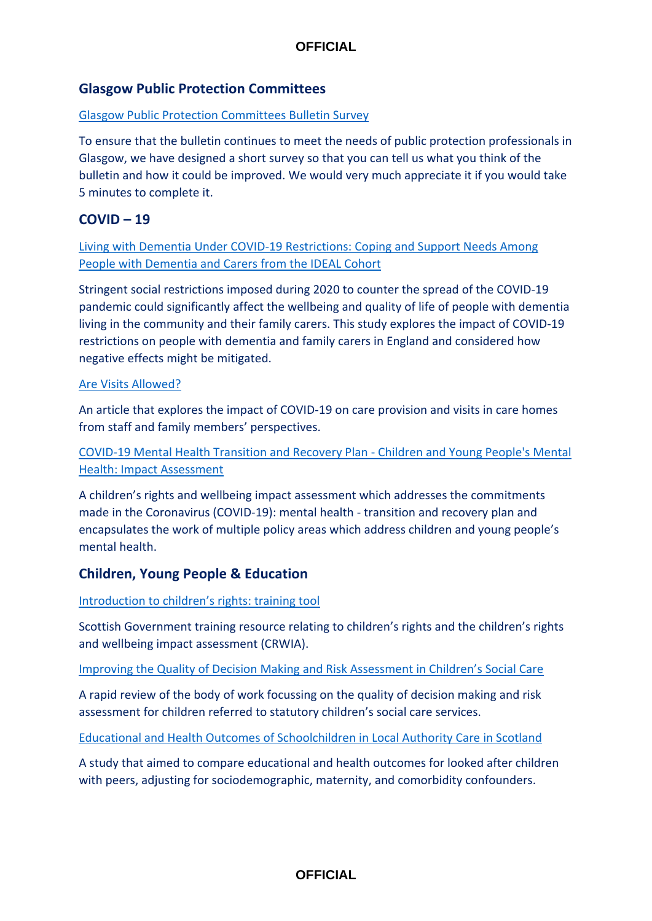## **Glasgow Public Protection Committees**

## [Glasgow Public Protection Committees Bulletin Survey](https://www.smartsurvey.co.uk/s/C6WBPK/)

To ensure that the bulletin continues to meet the needs of public protection professionals in Glasgow, we have designed a short survey so that you can tell us what you think of the bulletin and how it could be improved. We would very much appreciate it if you would take 5 minutes to complete it.

## **COVID – 19**

[Living with Dementia Under COVID-19 Restrictions: Coping and Support Needs Among](https://www.cambridge.org/core/services/aop-cambridge-core/content/view/D7EBD035B82FF4E1AA0D797AABBBC424/S0144686X21001719a.pdf/living_with_dementia_under_covid19_restrictions_coping_and_support_needs_among_people_with_dementia_and_carers_from_the_ideal_cohort.pdf)  [People with Dementia and Carers from the IDEAL Cohort](https://www.cambridge.org/core/services/aop-cambridge-core/content/view/D7EBD035B82FF4E1AA0D797AABBBC424/S0144686X21001719a.pdf/living_with_dementia_under_covid19_restrictions_coping_and_support_needs_among_people_with_dementia_and_carers_from_the_ideal_cohort.pdf)

Stringent social restrictions imposed during 2020 to counter the spread of the COVID-19 pandemic could significantly affect the wellbeing and quality of life of people with dementia living in the community and their family carers. This study explores the impact of COVID-19 restrictions on people with dementia and family carers in England and considered how negative effects might be mitigated.

#### [Are Visits Allowed?](doi:10.1017/S0144686X21001719)

An article that explores the impact of COVID-19 on care provision and visits in care homes from staff and family members' perspectives.

[COVID-19 Mental Health Transition and Recovery Plan -](https://www.gov.scot/publications/mental-health-scotlands-transition-recovery/) Children and Young People's Mental [Health: Impact Assessment](https://www.gov.scot/publications/mental-health-scotlands-transition-recovery/)

A children's rights and wellbeing impact assessment which addresses the commitments made in the Coronavirus (COVID-19): mental health - transition and recovery plan and encapsulates the work of multiple policy areas which address children and young people's mental health.

## **Children, Young People & Education**

#### [Introduction to children's rights: training tool](https://www.gov.scot/publications/childrens-rights-wellbeing-impact-assessments-crwia-training-tool/)

Scottish Government training resource relating to children's rights and the children's rights and wellbeing impact assessment (CRWIA).

#### Improving the Quality of Decision Making [and Risk Assessment in Children's Social Care](https://whatworks-csc.org.uk/research-report/improving-the-quality-of-decision-making-and-risk-assessment-in-childrens-social-care-a-rapid-evidence-review/)

A rapid review of the body of work focussing on the quality of decision making and risk assessment for children referred to statutory children's social care services.

#### [Educational and Health Outcomes of Schoolchildren in Local Authority Care in Scotland](https://doi.org/10.1371/journal.pmed.1003832)

A study that aimed to compare educational and health outcomes for looked after children with peers, adjusting for sociodemographic, maternity, and comorbidity confounders.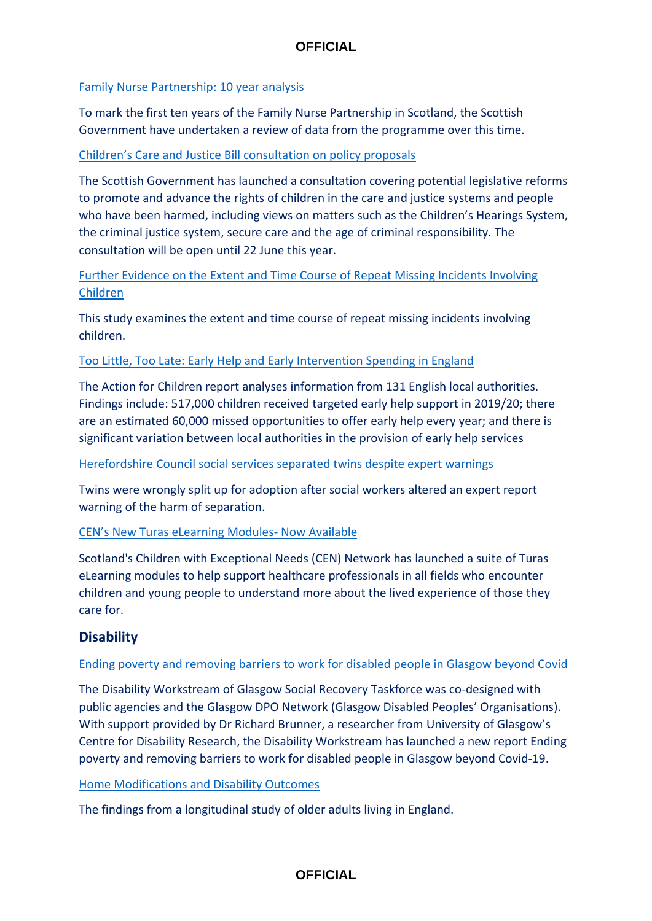## [Family Nurse Partnership: 10 year analysis](https://www.gov.scot/publications/family-nurse-partnership-10-year-analysis/)

To mark the first ten years of the Family Nurse Partnership in Scotland, the Scottish Government have undertaken a review of data from the programme over this time.

### [Children's Care and Justice Bill consultation on policy proposals](https://consult.gov.scot/children-and-families/childrens-care-and-justice-reforms/)

The Scottish Government has launched a consultation covering potential legislative reforms to promote and advance the rights of children in the care and justice systems and people who have been harmed, including views on matters such as the Children's Hearings System, the criminal justice system, secure care and the age of criminal responsibility. The consultation will be open until 22 June this year.

[Further Evidence on the Extent and Time Course of Repeat Missing Incidents Involving](doi:10.1177/0032258X211052900)  [Children](doi:10.1177/0032258X211052900)

This study examines the extent and time course of repeat missing incidents involving children.

## [Too Little, Too Late: Early Help and Early Intervention Spending in England](https://media.actionforchildren.org.uk/documents/Too_Little_Too_Late_Report_Final.pdf)

The Action for Children report analyses information from 131 English local authorities. Findings include: 517,000 children received targeted early help support in 2019/20; there are an estimated 60,000 missed opportunities to offer early help every year; and there is significant variation between local authorities in the provision of early help services

### [Herefordshire Council social services separated twins despite expert warnings](https://www.bbc.co.uk/news/uk-england-hereford-worcester-61434785)

Twins were wrongly split up for adoption after social workers altered an expert report warning of the harm of separation.

## [CEN's New Turas eLearning Modules](https://www.cen.scot.nhs.uk/cens-new-turas-elearning-modules-now-available/)- Now Available

Scotland's Children with Exceptional Needs (CEN) Network has launched a suite of Turas eLearning modules to help support healthcare professionals in all fields who encounter children and young people to understand more about the lived experience of those they care for.

# **Disability**

## [Ending poverty and removing barriers to work for disabled people in Glasgow beyond Covid](https://mailchi.mp/gdaonline/ending-poverty-and-removing-barriers-to-work-for-disabled-people-in-glasgow-beyond-covid-19?e=10c2c64eb3)

The Disability Workstream of Glasgow Social Recovery Taskforce was co-designed with public agencies and the Glasgow DPO Network (Glasgow Disabled Peoples' Organisations). With support provided by Dr Richard Brunner, a researcher from University of Glasgow's Centre for Disability Research, the Disability Workstream has launched a new report Ending poverty and removing barriers to work for disabled people in Glasgow beyond Covid-19.

## [Home Modifications and Disability Outcomes](https://www.sciencedirect.com/science/article/pii/S2666776222000904?via%3Dihub)

The findings from a longitudinal study of older adults living in England.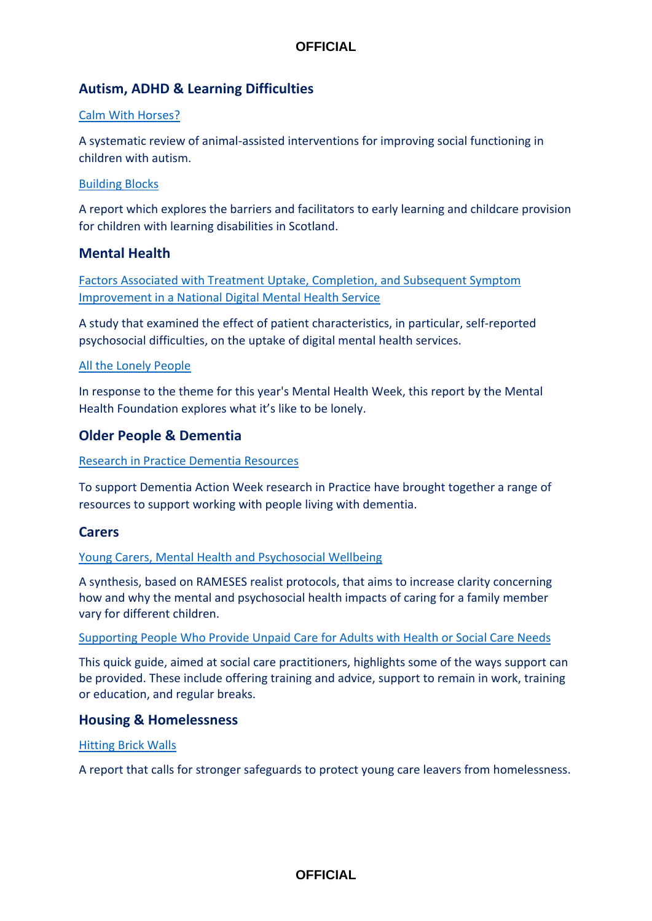# **Autism, ADHD & Learning Difficulties**

#### [Calm With Horses?](https://pubmed.ncbi.nlm.nih.gov/35403450/)

A systematic review of animal-assisted interventions for improving social functioning in children with autism.

#### [Building Blocks](https://www.scld.org.uk/scld-launches-early-years-report/)

A report which explores the barriers and facilitators to early learning and childcare provision for children with learning disabilities in Scotland.

## **Mental Health**

[Factors Associated with Treatment Uptake, Completion, and Subsequent Symptom](https://doi.org/10.1016/j.invent.2022.100506)  [Improvement in a National Digital Mental Health Service](https://doi.org/10.1016/j.invent.2022.100506)

A study that examined the effect of patient characteristics, in particular, self-reported psychosocial difficulties, on the uptake of digital mental health services.

#### [All the Lonely People](https://www.mentalhealth.org.uk/campaigns/mental-health-awareness-week#:~:text=Our%20new%20report%2C%20)

In response to the theme for this year's Mental Health Week, this report by the Mental Health Foundation explores what it's like to be lonely.

## **Older People & Dementia**

#### [Research in Practice Dementia Resources](https://www.researchinpractice.org.uk/adults/news-views/2022/may/enabling-people-living-with-dementia-to-lead-research/?utm_source=Non-Partner+bulletin&utm_campaign=da4b9313c0-Non_partner_May_22&utm_medium=email&utm_term=0_4146f9bdbb-da4b9313c0-38104929)

To support Dementia Action Week research in Practice have brought together a range of resources to support working with people living with dementia.

## **Carers**

#### [Young Carers, Mental Health and Psychosocial Wellbeing](https://pubmed.ncbi.nlm.nih.gov/34753209/)

A synthesis, based on RAMESES realist protocols, that aims to increase clarity concerning how and why the mental and psychosocial health impacts of caring for a family member vary for different children.

#### [Supporting People Who Provide Unpaid Care for Adults with Health or Social Care Needs](https://www.nice.org.uk/Media/Default/About/NICE-Communities/Social-care/quick-guides/supporting-adult-carers-quick-guide.pdf)

This quick guide, aimed at social care practitioners, highlights some of the ways support can be provided. These include offering training and advice, support to remain in work, training or education, and regular breaks.

## **Housing & Homelessness**

#### [Hitting Brick Walls](https://www.justforkidslaw.org/news/just-kids-law-calls-government-protect-young-care-leavers-homelessness-stronger-safeguards)

A report that calls for stronger safeguards to protect young care leavers from homelessness.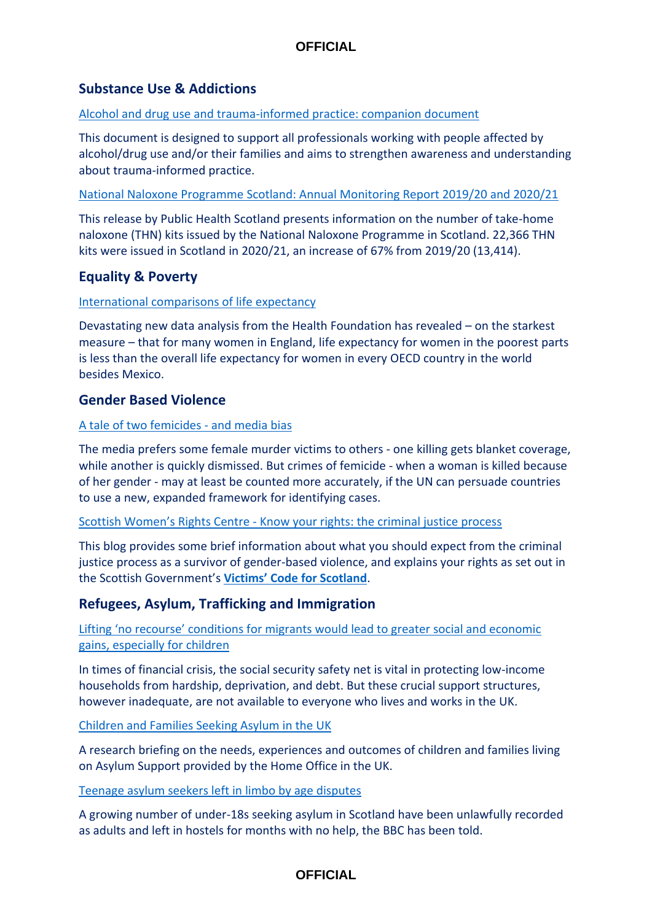# **Substance Use & Addictions**

#### [Alcohol and drug use and trauma-informed practice: companion document](https://www.improvementservice.org.uk/__data/assets/pdf_file/0015/31029/Alcohol-and-Drug-Use-Trauma-Companion-Pack.pdf)

This document is designed to support all professionals working with people affected by alcohol/drug use and/or their families and aims to strengthen awareness and understanding about trauma-informed practice.

[National Naloxone Programme Scotland: Annual Monitoring Report 2019/20 and 2020/21](https://publichealthscotland.scot/publications/national-naloxone-programme-scotland-annual/national-naloxone-programme-scotland-monitoring-report-201920-202021/)

This release by Public Health Scotland presents information on the number of take-home naloxone (THN) kits issued by the National Naloxone Programme in Scotland. 22,366 THN kits were issued in Scotland in 2020/21, an increase of 67% from 2019/20 (13,414).

# **Equality & Poverty**

## [International comparisons of life expectancy](https://www.health.org.uk/evidence-hub/health-inequalities/international-life-expectancy)

Devastating new data analysis from the Health Foundation has revealed – on the starkest measure – that for many women in England, life expectancy for women in the poorest parts is less than the overall life expectancy for women in every OECD country in the world besides Mexico.

## **Gender Based Violence**

#### [A tale of two femicides -](https://www.bbc.co.uk/news/world-europe-60648239) and media bias

The media prefers some female murder victims to others - one killing gets blanket coverage, while another is quickly dismissed. But crimes of femicide - when a woman is killed because of her gender - may at least be counted more accurately, if the UN can persuade countries to use a new, expanded framework for identifying cases.

#### Scottish Women's Rights Centre - [Know your rights: the criminal justice process](https://www.scottishwomensrightscentre.org.uk/news/news/know-your-rights-the-criminal-justice-process/)

This blog provides some brief information about what you should expect from the criminal justice process as a survivor of gender-based violence, and explains your rights as set out in the Scottish Government's **[Victims' Code for Scotland](https://www.mygov.scot/victims-code-for-scotland)**.

# **Refugees, Asylum, Trafficking and Immigration**

[Lifting 'no recourse' conditions for migrants would lead to greater social an](https://blogs.lse.ac.uk/socialpolicy/2022/03/23/lifting-no-recourse-conditions-for-migrants-would-lead-to-greater-social-and-economic-gains-especially-for-children/)d economic [gains, especially for children](https://blogs.lse.ac.uk/socialpolicy/2022/03/23/lifting-no-recourse-conditions-for-migrants-would-lead-to-greater-social-and-economic-gains-especially-for-children/)

In times of financial crisis, the social security safety net is vital in protecting low-income households from hardship, deprivation, and debt. But these crucial support structures, however inadequate, are not available to everyone who lives and works in the UK.

#### [Children and Families Seeking Asylum in the UK](https://sticerd.lse.ac.uk/dps/case/cb/casebrief41.pdf)

A research briefing on the needs, experiences and outcomes of children and families living on Asylum Support provided by the Home Office in the UK.

#### [Teenage asylum seekers left in limbo by age disputes](https://www.bbc.co.uk/news/uk-scotland-61408282)

A growing number of under-18s seeking asylum in Scotland have been unlawfully recorded as adults and left in hostels for months with no help, the BBC has been told.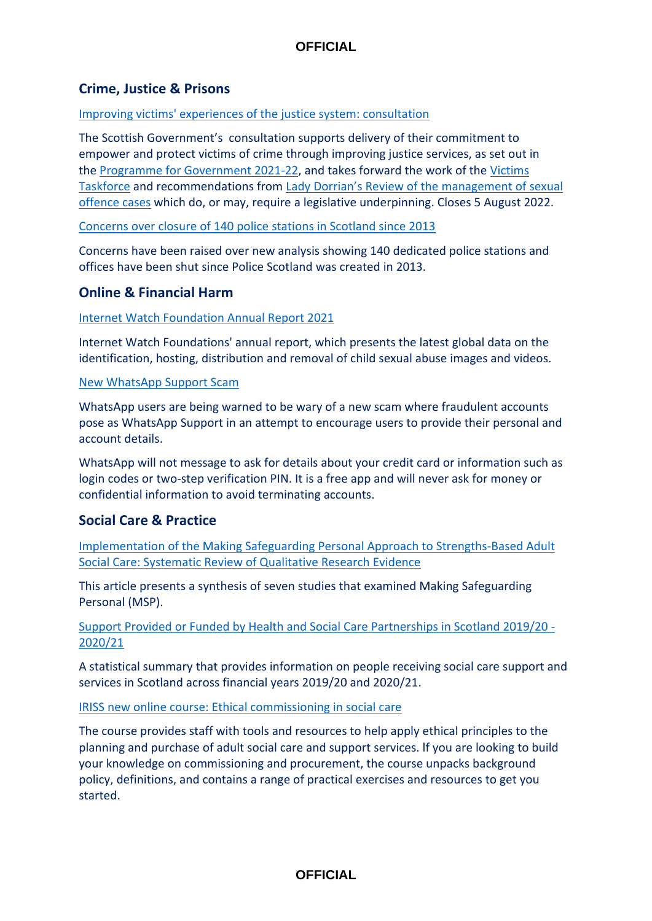# **Crime, Justice & Prisons**

#### [Improving victims' experiences of the justice system: consultation](https://consult.gov.scot/justice/victimsconsultation/)

The Scottish Government's consultation supports delivery of their commitment to empower and protect victims of crime through improving justice services, as set out in the [Programme for Government 2021-22,](https://www.gov.scot/programme-for-government/) and takes forward the work of the [Victims](https://www.gov.scot/groups/victims-taskforce/)  [Taskforce](https://www.gov.scot/groups/victims-taskforce/) and recommendations from [Lady Dorrian's Review of the management of sexual](https://www.scotcourts.gov.uk/docs/default-source/default-document-library/reports-and-data/Improving-the-management-of-Sexual-Offence-Cases.pdf?sfvrsn=6)  [offence cases](https://www.scotcourts.gov.uk/docs/default-source/default-document-library/reports-and-data/Improving-the-management-of-Sexual-Offence-Cases.pdf?sfvrsn=6) which do, or may, require a legislative underpinning. Closes 5 August 2022.

[Concerns over closure](https://app.scotsman.com/2022/04/05/concerns-over-closure-of-140-police-stations-in-scotland-since-2013/content.html) of 140 police stations in Scotland since 2013

Concerns have been raised over new analysis showing 140 dedicated police stations and offices have been shut since Police Scotland was created in 2013.

# **Online & Financial Harm**

#### [Internet Watch Foundation Annual Report 2021](https://www.iwf.org.uk/about-us/who-we-are/annual-report-2021/)

Internet Watch Foundations' annual report, which presents the latest global data on the identification, hosting, distribution and removal of child sexual abuse images and videos.

#### [New WhatsApp Support Scam](https://wabetainfo.com/fake-whatsapp-accounts-are-posing-as-whatsapp-support/#more-13335)

WhatsApp users are being warned to be wary of a new scam where fraudulent accounts pose as WhatsApp Support in an attempt to encourage users to provide their personal and account details.

WhatsApp will not message to ask for details about your credit card or information such as login codes or two-step verification PIN. It is a free app and will never ask for money or confidential information to avoid terminating accounts.

# **Social Care & Practice**

[Implementation of the Making Safeguarding Personal Approach to Strengths-Based Adult](https://doi.org/10.1093/bjsw/bcac076)  [Social Care: Systematic Review of Qualitative Research Evidence](https://doi.org/10.1093/bjsw/bcac076)

This article presents a synthesis of seven studies that examined Making Safeguarding Personal (MSP).

[Support Provided or Funded by Health and Social Care Partnerships in Scotland 2019/20 -](https://publichealthscotland.scot/publications/insights-in-social-care-statistics-for-scotland/insights-in-social-care-statistics-for-scotland-support-provided-or-funded-by-health-and-social-care-partnerships-in-scotland-201920-202021/) [2020/21](https://publichealthscotland.scot/publications/insights-in-social-care-statistics-for-scotland/insights-in-social-care-statistics-for-scotland-support-provided-or-funded-by-health-and-social-care-partnerships-in-scotland-201920-202021/)

A statistical summary that provides information on people receiving social care support and services in Scotland across financial years 2019/20 and 2020/21.

[IRISS new online course: Ethical commissioning in social care](https://courses.iriss.org.uk/group/2)

The course provides staff with tools and resources to help apply ethical principles to the planning and purchase of adult social care and support services. lf you are looking to build your knowledge on commissioning and procurement, the course unpacks background policy, definitions, and contains a range of practical exercises and resources to get you started.